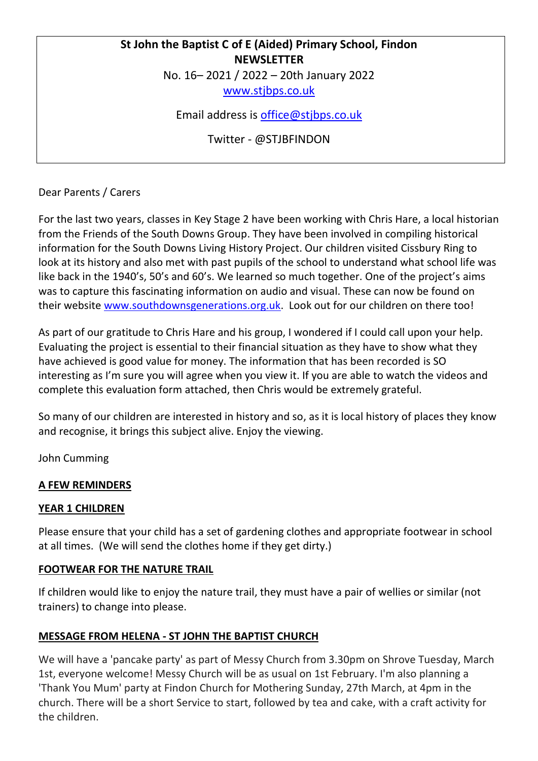# **St John the Baptist C of E (Aided) Primary School, Findon NEWSLETTER**

No. 16– 2021 / 2022 – 20th January 2022

[www.stjbps.co.uk](http://www.stjbps.co.uk/)

Email address is [office@stjbps.co.uk](mailto:office@stjbps.co.uk)

Twitter - @STJBFINDON

Dear Parents / Carers

For the last two years, classes in Key Stage 2 have been working with Chris Hare, a local historian from the Friends of the South Downs Group. They have been involved in compiling historical information for the South Downs Living History Project. Our children visited Cissbury Ring to look at its history and also met with past pupils of the school to understand what school life was like back in the 1940's, 50's and 60's. We learned so much together. One of the project's aims was to capture this fascinating information on audio and visual. These can now be found on their website [www.southdownsgenerations.org.uk.](http://www.southdownsgenerations.org.uk/) Look out for our children on there too!

As part of our gratitude to Chris Hare and his group, I wondered if I could call upon your help. Evaluating the project is essential to their financial situation as they have to show what they have achieved is good value for money. The information that has been recorded is SO interesting as I'm sure you will agree when you view it. If you are able to watch the videos and complete this evaluation form attached, then Chris would be extremely grateful.

So many of our children are interested in history and so, as it is local history of places they know and recognise, it brings this subject alive. Enjoy the viewing.

John Cumming

### **A FEW REMINDERS**

### **YEAR 1 CHILDREN**

Please ensure that your child has a set of gardening clothes and appropriate footwear in school at all times. (We will send the clothes home if they get dirty.)

### **FOOTWEAR FOR THE NATURE TRAIL**

If children would like to enjoy the nature trail, they must have a pair of wellies or similar (not trainers) to change into please.

### **MESSAGE FROM HELENA - ST JOHN THE BAPTIST CHURCH**

We will have a 'pancake party' as part of Messy Church from 3.30pm on Shrove Tuesday, March 1st, everyone welcome! Messy Church will be as usual on 1st February. I'm also planning a 'Thank You Mum' party at Findon Church for Mothering Sunday, 27th March, at 4pm in the church. There will be a short Service to start, followed by tea and cake, with a craft activity for the children.